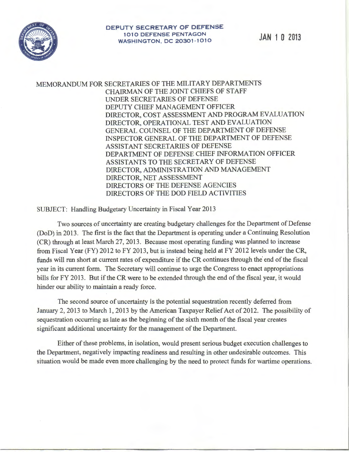

MEMORANDUM FOR SECRETARIES OF THE MILITARY DEPARTMENTS CHAIRMAN OF THE JOINT CHIEFS OF STAFF UNDER SECRET ARIES OF DEFENSE DEPUTY CHIEF MANAGEMENT OFFICER DIRECTOR, COST ASSESSMENT AND PROGRAM EVALUATION DIRECTOR, OPERATIONAL TEST AND EVALUATION GENERAL COUNSEL OF THE DEPARTMENT OF DEFENSE INSPECTOR GENERAL OF THE DEPARTMENT OF DEFENSE ASSISTANT SECRETARIES OF DEFENSE DEPARTMENT OF DEFENSE CHIEF INFORMATION OFFICER ASSISTANTS TO THE SECRETARY OF DEFENSE DIRECTOR, ADMINISTRATION AND MANAGEMENT DIRECTOR, NET ASSESSMENT DIRECTORS OF THE DEFENSE AGENCIES DIRECTORS OF THE DOD FIELD ACTIVITIES

SUBJECT: Handling Budgetary Uncertainty in Fiscal Year 2013

Two sources of uncertainty are creating budgetary challenges for the Department of Defense (DoD) in 2013. The first is the fact that the Department is operating under a Continuing Resolution (CR) through at least March 27, 2013. Because most operating funding was planned to increase from Fiscal Year (FY) 2012 to FY 2013, but is instead being held at FY 2012 levels under the CR, funds will run short at current rates of expenditure if the CR continues through the end of the fiscal year in its current form. The Secretary will continue to urge the Congress to enact appropriations bills for FY 2013. But if the CR were to be extended through the end of the fiscal year, it would hinder our ability to maintain a ready force.

The second source of uncertainty is the potential sequestration recently deferred from January 2, 2013 to March 1, 2013 by the American Taxpayer Relief Act of 2012. The possibility of sequestration occurring as late as the beginning of the sixth month of the fiscal year creates significant additional uncertainty for the management of the Department.

Either of these problems, in isolation, would present serious budget execution challenges to the Department, negatively impacting readiness and resulting in other undesirable outcomes. This situation would be made even more challenging by the need to protect funds for wartime operations.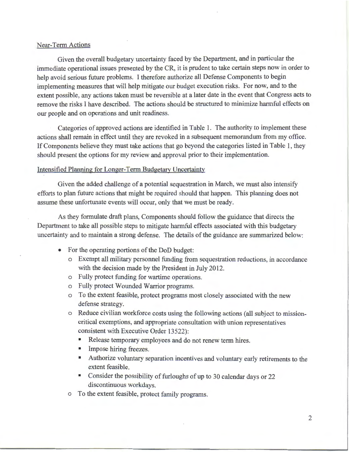## Near-Term Actions

Given the overall budgetary uncertainty faced by the Department, and in particular the immediate operational issues presented by the CR, it is prudent to take certain steps now in order to help avoid serious future problems. I therefore authorize all Defense Components to begin implementing measures that will help mitigate our budget execution risks. For now, and to the extent possible, any actions taken must be reversible at a later date in the event that Congress acts to remove the risks I have described. The actions should be structured to minimize harmful effects on our people and on operations and unit readiness.

Categories of approved actions are identified in Table 1. The authority to implement these actions shall remain in effect until they are revoked in a subsequent memorandum from my office. If Components believe they must take actions that go beyond the categories listed in Table 1, they should present the options for my review and approval prior to their implementation.

## Intensified Planning for Longer-Term Budgetary Uncertainty

Given the added challenge of a potential sequestration in March, we must also intensify efforts to plan future actions that might be required should that happen. This planning does not assume these unfortunate events will occur, only that we must be ready.

As they formulate draft plans, Components should follow the guidance that directs the Department to take all possible steps to mitigate harmful effects associated with this budgetary uncertainty and to maintain a strong defense. The details of the guidance are summarized below:

- For the operating portions of the DoD budget:
	- o Exempt all military personnel funding from sequestration reductions, in accordance with the decision made by the President in July 2012.
	- o Fully protect funding for wartime operations.
	- o Fully protect Wounded Warrior programs.
	- o To the extent feasible, protect programs most closely associated with the new defense strategy.
	- o Reduce civilian workforce costs using the following actions (all subject to missioncritical exemptions, and appropriate consultation with union representatives consistent with Executive Order 13522):
		- Release temporary employees and do not renew term hires.
		- Impose hiring freezes.
		- Authorize voluntary separation incentives and voluntary early retirements to the extent feasible.
		- Consider the possibility of furloughs of up to 30 calendar days or 22 discontinuous workdays.
	- o To the extent feasible, protect family programs.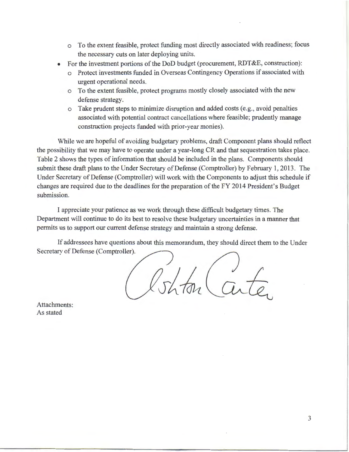- o To the extent feasible, protect funding most directly associated with readiness; focus the necessary cuts on later deploying units.
- For the investment portions of the DoD budget (procurement, RDT &E, construction):
	- o Protect investments funded in Overseas Contingency Operations if associated with urgent operational needs.
	- o To the extent feasible, protect programs mostly closely associated with the new defense strategy.
	- o Take prudent steps to minimize disruption and added costs (e.g., avoid penalties associated with potential contract cancellations where feasible; prudently manage construction projects funded with prior-year monies).

While we are hopeful of avoiding budgetary problems, draft Component plans should reflect the possibility that we may have to operate under a year-long CR and that sequestration takes place. Table 2 shows the types of information that should be included in the plans. Components should submit these draft plans to the Under Secretary of Defense (Comptroller) by February 1, 2013. The Under Secretary of Defense (Comptroller) will work with the Components to adjust this schedule if changes are required due to the deadlines for the preparation of the FY 2014 President's Budget submission.

I appreciate your patience as we work through these difficult budgetary times. The Department will continue to do its best to resolve these budgetary uncertainties in a manner that permits us to support our current defense strategy and maintain a strong defense.

If addressees have questions about this memorandum, they should direct them to the Under Secretary of Defense (Comptroller).

Cent

Attachments: As stated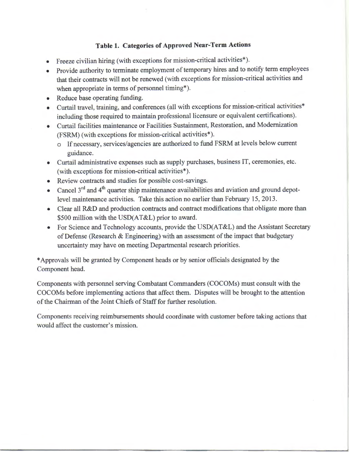## **Table 1. Categories of Approved Near-Term Actions**

- Freeze civilian hiring (with exceptions for mission-critical activities\*).
- Provide authority to terminate employment of temporary hires and to notify term employees that their contracts will not be renewed (with exceptions for mission-critical activities and when appropriate in terms of personnel timing\*).
- Reduce base operating funding.
- Curtail travel, training, and conferences (all with exceptions for mission-critical activities\* including those required to maintain professional licensure or equivalent certifications).
- Curtail facilities maintenance or Facilities Sustainment, Restoration, and Modernization (FSRM) (with exceptions for mission-critical activities\*).
	- o If necessary, services/agencies are authorized to fund FSRM at levels below current guidance.
- Curtail administrative expenses such as supply purchases, business IT, ceremonies, etc. (with exceptions for mission-critical activities\*).
- Review contracts and studies for possible cost-savings.
- Cancel  $3<sup>rd</sup>$  and  $4<sup>th</sup>$  quarter ship maintenance availabilities and aviation and ground depotlevel maintenance activities. Take this action no earlier than February 15, 2013.
- Clear all R&D and production contracts and contract modifications that obligate more than \$500 million with the USD(AT&L) prior to award.
- For Science and Technology accounts, provide the USD(AT&L) and the Assistant Secretary of Defense (Research & Engineering) with an assessment of the impact that budgetary uncertainty may have on meeting Departmental research priorities.

\*Approvals will be granted by Component heads or by senior officials designated by the Component head.

Components with personnel serving Combatant Commanders (COCOMs) must consult with the COCOMs before implementing actions that affect them. Disputes will be brought to the attention of the Chairman of the Joint Chiefs of Staff for further resolution.

Components receiving reimbursements should coordinate with customer before taking actions that would affect the customer's mission.